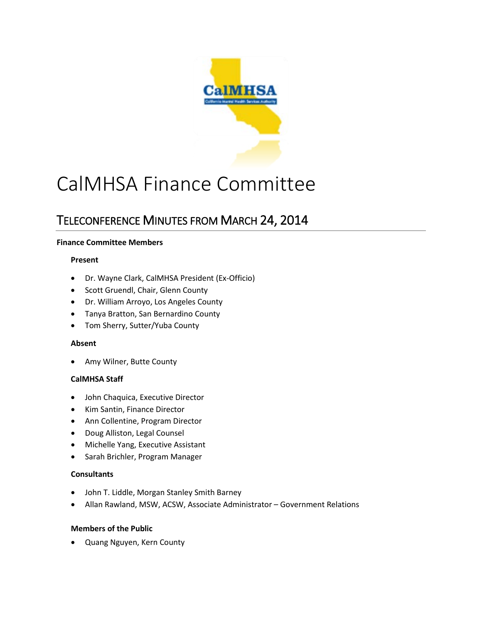

# CalMHSA Finance Committee

# TELECONFERENCE MINUTES FROM MARCH 24, 2014

# **Finance Committee Members**

#### **Present**

- Dr. Wayne Clark, CalMHSA President (Ex-Officio)
- Scott Gruendl, Chair, Glenn County
- Dr. William Arroyo, Los Angeles County
- Tanya Bratton, San Bernardino County
- Tom Sherry, Sutter/Yuba County

# **Absent**

• Amy Wilner, Butte County

# **CalMHSA Staff**

- John Chaquica, Executive Director
- Kim Santin, Finance Director
- Ann Collentine, Program Director
- Doug Alliston, Legal Counsel
- Michelle Yang, Executive Assistant
- Sarah Brichler, Program Manager

# **Consultants**

- John T. Liddle, Morgan Stanley Smith Barney
- Allan Rawland, MSW, ACSW, Associate Administrator Government Relations

# **Members of the Public**

• Quang Nguyen, Kern County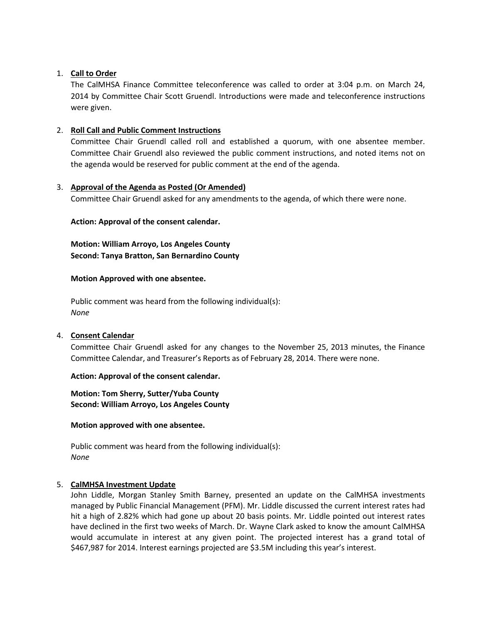#### 1. **Call to Order**

The CalMHSA Finance Committee teleconference was called to order at 3:04 p.m. on March 24, 2014 by Committee Chair Scott Gruendl. Introductions were made and teleconference instructions were given.

#### 2. **Roll Call and Public Comment Instructions**

Committee Chair Gruendl called roll and established a quorum, with one absentee member. Committee Chair Gruendl also reviewed the public comment instructions, and noted items not on the agenda would be reserved for public comment at the end of the agenda.

#### 3. **Approval of the Agenda as Posted (Or Amended)**

Committee Chair Gruendl asked for any amendments to the agenda, of which there were none.

#### **Action: Approval of the consent calendar.**

**Motion: William Arroyo, Los Angeles County Second: Tanya Bratton, San Bernardino County**

#### **Motion Approved with one absentee.**

Public comment was heard from the following individual(s): *None*

#### 4. **Consent Calendar**

Committee Chair Gruendl asked for any changes to the November 25, 2013 minutes, the Finance Committee Calendar, and Treasurer's Reports as of February 28, 2014. There were none.

#### **Action: Approval of the consent calendar.**

**Motion: Tom Sherry, Sutter/Yuba County Second: William Arroyo, Los Angeles County**

#### **Motion approved with one absentee.**

Public comment was heard from the following individual(s): *None*

#### 5. **CalMHSA Investment Update**

John Liddle, Morgan Stanley Smith Barney, presented an update on the CalMHSA investments managed by Public Financial Management (PFM). Mr. Liddle discussed the current interest rates had hit a high of 2.82% which had gone up about 20 basis points. Mr. Liddle pointed out interest rates have declined in the first two weeks of March. Dr. Wayne Clark asked to know the amount CalMHSA would accumulate in interest at any given point. The projected interest has a grand total of \$467,987 for 2014. Interest earnings projected are \$3.5M including this year's interest.